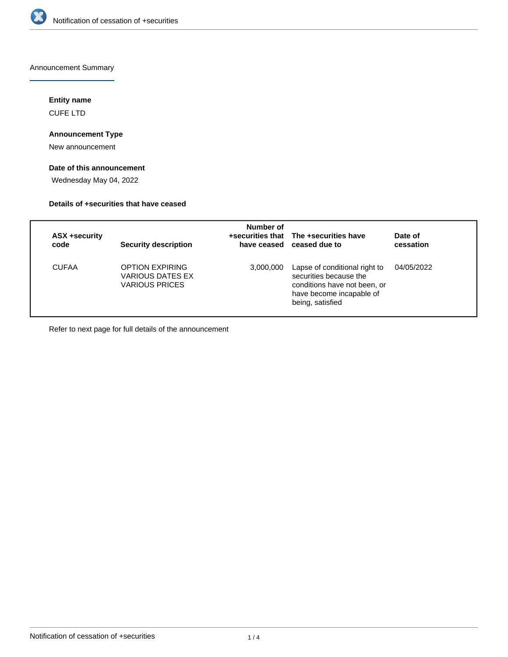

Announcement Summary

### **Entity name**

CUFE LTD

## **Announcement Type**

New announcement

# **Date of this announcement**

Wednesday May 04, 2022

### **Details of +securities that have ceased**

| <b>ASX +security</b><br>code | <b>Security description</b>                                                | Number of | +securities that The +securities have<br>have ceased ceased due to                                                                      | Date of<br>cessation |
|------------------------------|----------------------------------------------------------------------------|-----------|-----------------------------------------------------------------------------------------------------------------------------------------|----------------------|
| <b>CUFAA</b>                 | <b>OPTION EXPIRING</b><br><b>VARIOUS DATES EX</b><br><b>VARIOUS PRICES</b> | 3,000,000 | Lapse of conditional right to<br>securities because the<br>conditions have not been, or<br>have become incapable of<br>being, satisfied | 04/05/2022           |

Refer to next page for full details of the announcement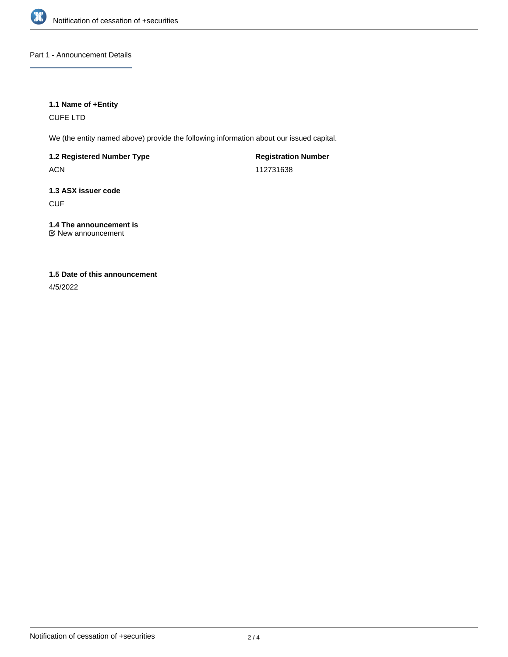

### Part 1 - Announcement Details

### **1.1 Name of +Entity**

CUFE LTD

We (the entity named above) provide the following information about our issued capital.

# **1.2 Registered Number Type**

ACN

**Registration Number** 112731638

# **1.3 ASX issuer code CUF**

**1.4 The announcement is**

New announcement

## **1.5 Date of this announcement**

4/5/2022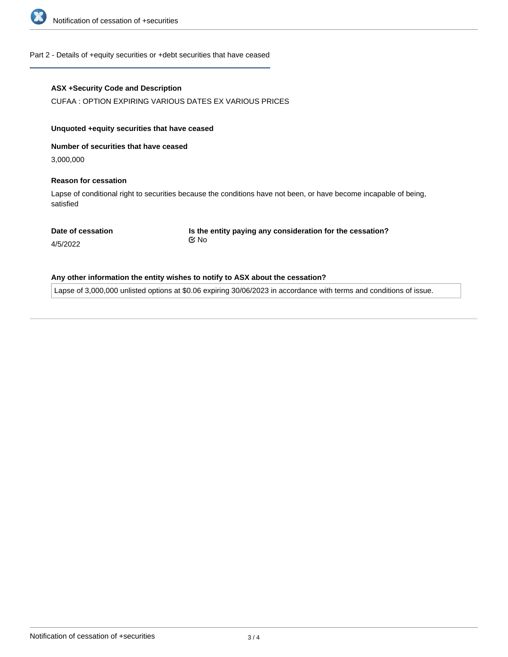

#### Part 2 - Details of +equity securities or +debt securities that have ceased

### **ASX +Security Code and Description**

CUFAA : OPTION EXPIRING VARIOUS DATES EX VARIOUS PRICES

### **Unquoted +equity securities that have ceased**

**Number of securities that have ceased**

3,000,000

### **Reason for cessation**

Lapse of conditional right to securities because the conditions have not been, or have become incapable of being, satisfied

**Date of cessation**

**Is the entity paying any consideration for the cessation?** No

4/5/2022

#### **Any other information the entity wishes to notify to ASX about the cessation?**

Lapse of 3,000,000 unlisted options at \$0.06 expiring 30/06/2023 in accordance with terms and conditions of issue.